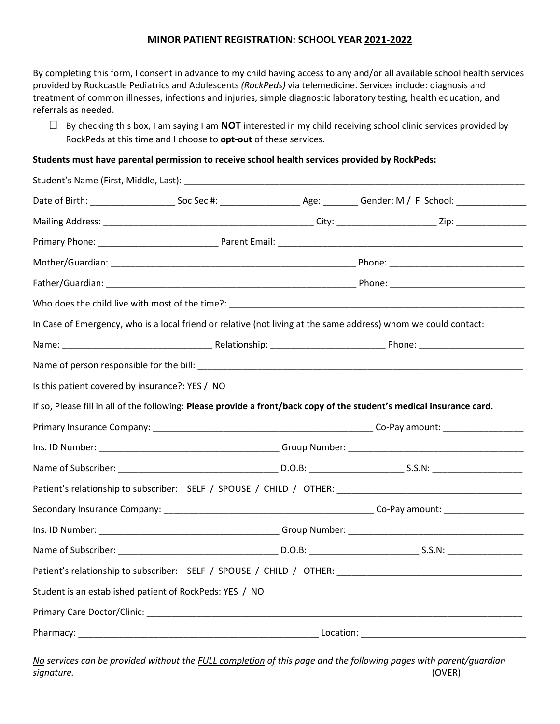### **MINOR PATIENT REGISTRATION: SCHOOL YEAR 2021-2022**

By completing this form, I consent in advance to my child having access to any and/or all available school health services provided by Rockcastle Pediatrics and Adolescents *(RockPeds)* via telemedicine. Services include: diagnosis and treatment of common illnesses, infections and injuries, simple diagnostic laboratory testing, health education, and referrals as needed.

 $\Box$  By checking this box, I am saying I am **NOT** interested in my child receiving school clinic services provided by RockPeds at this time and I choose to **opt-out** of these services.

#### **Students must have parental permission to receive school health services provided by RockPeds:**

| Student's Name (First, Middle, Last): _         |                                                         |  |                                                                                                                                        |  |  |
|-------------------------------------------------|---------------------------------------------------------|--|----------------------------------------------------------------------------------------------------------------------------------------|--|--|
|                                                 |                                                         |  | Date of Birth: ___________________________Soc Sec #: ________________________________Gender: M / F School: ___________________________ |  |  |
|                                                 |                                                         |  |                                                                                                                                        |  |  |
|                                                 |                                                         |  |                                                                                                                                        |  |  |
|                                                 |                                                         |  |                                                                                                                                        |  |  |
|                                                 |                                                         |  |                                                                                                                                        |  |  |
|                                                 |                                                         |  | Who does the child live with most of the time?: Who does the child live with most of the time?:                                        |  |  |
|                                                 |                                                         |  | In Case of Emergency, who is a local friend or relative (not living at the same address) whom we could contact:                        |  |  |
|                                                 |                                                         |  |                                                                                                                                        |  |  |
|                                                 |                                                         |  |                                                                                                                                        |  |  |
| Is this patient covered by insurance?: YES / NO |                                                         |  |                                                                                                                                        |  |  |
|                                                 |                                                         |  | If so, Please fill in all of the following: Please provide a front/back copy of the student's medical insurance card.                  |  |  |
|                                                 |                                                         |  |                                                                                                                                        |  |  |
|                                                 |                                                         |  |                                                                                                                                        |  |  |
|                                                 |                                                         |  |                                                                                                                                        |  |  |
|                                                 |                                                         |  |                                                                                                                                        |  |  |
|                                                 |                                                         |  |                                                                                                                                        |  |  |
|                                                 |                                                         |  |                                                                                                                                        |  |  |
|                                                 |                                                         |  |                                                                                                                                        |  |  |
|                                                 |                                                         |  |                                                                                                                                        |  |  |
|                                                 |                                                         |  |                                                                                                                                        |  |  |
|                                                 | Student is an established patient of RockPeds: YES / NO |  |                                                                                                                                        |  |  |
|                                                 |                                                         |  |                                                                                                                                        |  |  |

*No services can be provided without the FULL completion of this page and the following pages with parent/guardian signature.* (OVER)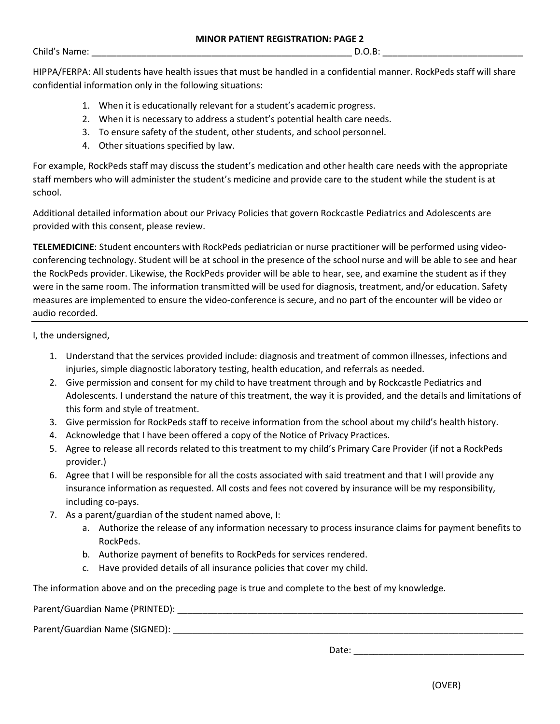Child's Name: \_\_\_\_\_\_\_\_\_\_\_\_\_\_\_\_\_\_\_\_\_\_\_\_\_\_\_\_\_\_\_\_\_\_\_\_\_\_\_\_\_\_\_\_\_\_\_\_\_\_\_\_ D.O.B: \_\_\_\_\_\_\_\_\_\_\_\_\_\_\_\_\_\_\_\_\_\_\_\_\_\_\_\_

HIPPA/FERPA: All students have health issues that must be handled in a confidential manner. RockPeds staff will share confidential information only in the following situations:

- 1. When it is educationally relevant for a student's academic progress.
- 2. When it is necessary to address a student's potential health care needs.
- 3. To ensure safety of the student, other students, and school personnel.
- 4. Other situations specified by law.

For example, RockPeds staff may discuss the student's medication and other health care needs with the appropriate staff members who will administer the student's medicine and provide care to the student while the student is at school.

Additional detailed information about our Privacy Policies that govern Rockcastle Pediatrics and Adolescents are provided with this consent, please review.

**TELEMEDICINE**: Student encounters with RockPeds pediatrician or nurse practitioner will be performed using videoconferencing technology. Student will be at school in the presence of the school nurse and will be able to see and hear the RockPeds provider. Likewise, the RockPeds provider will be able to hear, see, and examine the student as if they were in the same room. The information transmitted will be used for diagnosis, treatment, and/or education. Safety measures are implemented to ensure the video-conference is secure, and no part of the encounter will be video or audio recorded.

I, the undersigned,

- 1. Understand that the services provided include: diagnosis and treatment of common illnesses, infections and injuries, simple diagnostic laboratory testing, health education, and referrals as needed.
- 2. Give permission and consent for my child to have treatment through and by Rockcastle Pediatrics and Adolescents. I understand the nature of this treatment, the way it is provided, and the details and limitations of this form and style of treatment.
- 3. Give permission for RockPeds staff to receive information from the school about my child's health history.
- 4. Acknowledge that I have been offered a copy of the Notice of Privacy Practices.
- 5. Agree to release all records related to this treatment to my child's Primary Care Provider (if not a RockPeds provider.)
- 6. Agree that I will be responsible for all the costs associated with said treatment and that I will provide any insurance information as requested. All costs and fees not covered by insurance will be my responsibility, including co-pays.
- 7. As a parent/guardian of the student named above, I:
	- a. Authorize the release of any information necessary to process insurance claims for payment benefits to RockPeds.
	- b. Authorize payment of benefits to RockPeds for services rendered.
	- c. Have provided details of all insurance policies that cover my child.

The information above and on the preceding page is true and complete to the best of my knowledge.

Parent/Guardian Name (PRINTED): \_\_\_\_\_\_\_\_\_\_\_\_\_\_\_\_\_\_\_\_\_\_\_\_\_\_\_\_\_\_\_\_\_\_\_\_\_\_\_\_\_\_\_\_\_\_\_\_\_\_\_\_\_\_\_\_\_\_\_\_\_\_\_\_\_\_\_\_\_

Parent/Guardian Name (SIGNED): \_\_\_\_\_\_\_\_\_\_\_\_\_\_\_\_\_\_\_\_\_\_\_\_\_\_\_\_\_\_\_\_\_\_\_\_\_\_\_\_\_\_\_\_\_\_\_\_\_\_\_\_\_\_\_\_\_\_\_\_\_\_\_\_\_\_\_\_\_\_

Date: \_\_\_\_\_\_\_\_\_\_\_\_\_\_\_\_\_\_\_\_\_\_\_\_\_\_\_\_\_\_\_\_\_\_